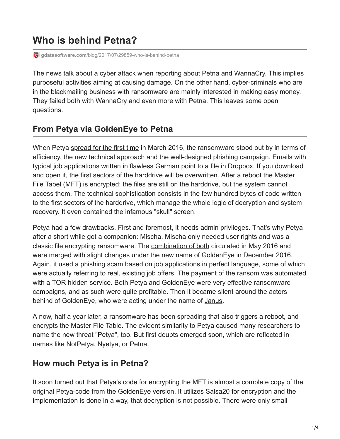# **Who is behind Petna?**

**gdatasoftware.com**[/blog/2017/07/29859-who-is-behind-petna](https://www.gdatasoftware.com/blog/2017/07/29859-who-is-behind-petna)

The news talk about a cyber attack when reporting about Petna and WannaCry. This implies purposeful activities aiming at causing damage. On the other hand, cyber-criminals who are in the blackmailing business with ransomware are mainly interested in making easy money. They failed both with WannaCry and even more with Petna. This leaves some open questions.

### **From Petya via GoldenEye to Petna**

When Petya [spread for the first time](https://www.gdatasoftware.com/blog/2016/03/28213-ransomware-petya-encrypts-hard-drives) in March 2016, the ransomware stood out by in terms of efficiency, the new technical approach and the well-designed phishing campaign. Emails with typical job applications written in flawless German point to a file in Dropbox. If you download and open it, the first sectors of the harddrive will be overwritten. After a reboot the Master File Tabel (MFT) is encrypted: the files are still on the harddrive, but the system cannot access them. The technical sophistication consists in the few hundred bytes of code written to the first sectors of the harddrive, which manage the whole logic of decryption and system recovery. It even contained the infamous "skull" screen.

Petya had a few drawbacks. First and foremost, it needs admin privileges. That's why Petya after a short while got a companion: Mischa. Mischa only needed user rights and was a classic file encrypting ransomware. The [combination of both](https://blog.malwarebytes.com/threat-analysis/2016/05/petya-and-mischa-ransomware-duet-p1/) circulated in May 2016 and were merged with slight changes under the new name of [GoldenEye](https://www.gdata.de/blog/2016/12/29370-neue-ransomware-variante-golden-eye) in December 2016. Again, it used a phishing scam based on job applications in perfect language, some of which were actually referring to real, existing job offers. The payment of the ransom was automated with a TOR hidden service. Both Petya and GoldenEye were very effective ransomware campaigns, and as such were quite profitable. Then it became silent around the actors behind of Golden Eye, who were acting under the name of [Janus](https://twitter.com/JanusSecretary).

A now, half a year later, a ransomware has been spreading that also triggers a reboot, and encrypts the Master File Table. The evident similarity to Petya caused many researchers to name the new threat "Petya", too. But first doubts emerged soon, which are reflected in names like NotPetya, Nyetya, or Petna.

## **How much Petya is in Petna?**

It soon turned out that Petya's code for encrypting the MFT is almost a complete copy of the original Petya-code from the GoldenEye version. It utilizes Salsa20 for encryption and the implementation is done in a way, that decryption is not possible. There were only small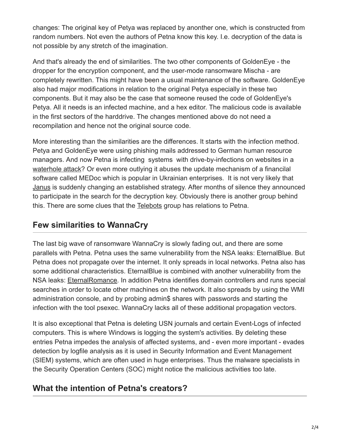changes: The original key of Petya was replaced by anonther one, which is constructed from random numbers. Not even the authors of Petna know this key. I.e. decryption of the data is not possible by any stretch of the imagination.

And that's already the end of similarities. The two other components of GoldenEye - the dropper for the encryption component, and the user-mode ransomware Mischa - are completely rewritten. This might have been a usual maintenance of the software. GoldenEye also had major modifications in relation to the original Petya especially in these two components. But it may also be the case that someone reused the code of GoldenEye's Petya. All it needs is an infected machine, and a hex editor. The malicious code is available in the first sectors of the harddrive. The changes mentioned above do not need a recompilation and hence not the original source code.

More interesting than the similarities are the differences. It starts with the infection method. Petya and GoldenEye were using phishing mails addressed to German human resource managers. And now Petna is infecting systems with drive-by-infections on websites in a [waterhole attack](https://twitter.com/craiu/status/880011103161524224)? Or even more outlying it abuses the update mechanism of a financilal software called MEDoc which is popular in Ukrainian enterprises. It is not very likely that [Janus](https://twitter.com/JanusSecretary/status/880156466115743744) is suddenly changing an established strategy. After months of silence they announced to participate in the search for the decryption key. Obviously there is another group behind this. There are some clues that the [Telebots](https://www.welivesecurity.com/2017/06/30/telebots-back-supply-chain-attacks-against-ukraine/) group has relations to Petna.

## **Few similarities to WannaCry**

The last big wave of ransomware WannaCry is slowly fading out, and there are some parallels with Petna. Petna uses the same vulnerability from the NSA leaks: EternalBlue. But Petna does not propagate over the internet. It only spreads in local networks. Petna also has some additional characteristics. EternalBlue is combined with another vulnerability from the NSA leaks: **[EternalRomance](https://technet.microsoft.com/en-us/library/security/ms17-010.aspx)**. In addition Petna identifies domain controllers and runs special searches in order to locate other machines on the network. It also spreads by using the WMI administration console, and by probing admin\$ shares with passwords and starting the infection with the tool psexec. WannaCry lacks all of these additional propagation vectors.

It is also exceptional that Petna is deleting USN journals and certain Event-Logs of infected computers. This is where Windows is logging the system's activities. By deleting these entries Petna impedes the analysis of affected systems, and - even more important - evades detection by logfile analysis as it is used in Security Information and Event Management (SIEM) systems, which are often used in huge enterprises. Thus the malware specialists in the Security Operation Centers (SOC) might notice the malicious activities too late.

### **What the intention of Petna's creators?**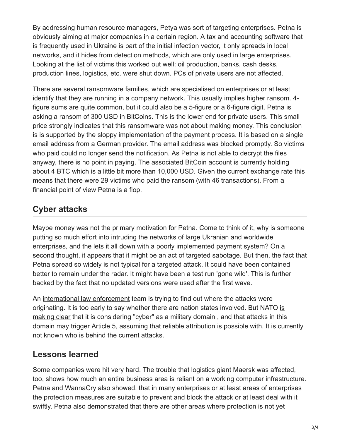By addressing human resource managers, Petya was sort of targeting enterprises. Petna is obviously aiming at major companies in a certain region. A tax and accounting software that is frequently used in Ukraine is part of the initial infection vector, it only spreads in local networks, and it hides from detection methods, which are only used in large enterprises. Looking at the list of victims this worked out well: oil production, banks, cash desks, production lines, logistics, etc. were shut down. PCs of private users are not affected.

There are several ransomware families, which are specialised on enterprises or at least identify that they are running in a company network. This usually implies higher ransom. 4 figure sums are quite common, but it could also be a 5-figure or a 6-figure digit. Petna is asking a ransom of 300 USD in BitCoins. This is the lower end for private users. This small price strongly indicates that this ransomware was not about making money. This conclusion is is supported by the sloppy implementation of the payment process. It is based on a single email address from a German provider. The email address was blocked promptly. So victims who paid could no longer send the notification. As Petna is not able to decrypt the files anyway, there is no point in paying. The associated [BitCoin account](https://blockchain.info/address/1Mz7153HMuxXTuR2R1t78mGSdzaAtNbBWX) is currently holding about 4 BTC which is a little bit more than 10,000 USD. Given the current exchange rate this means that there were 29 victims who paid the ransom (with 46 transactions). From a financial point of view Petna is a flop.

## **Cyber attacks**

Maybe money was not the primary motivation for Petna. Come to think of it, why is someone putting so much effort into intruding the networks of large Ukranian and worldwide enterprises, and the lets it all down with a poorly implemented payment system? On a second thought, it appears that it might be an act of targeted sabotage. But then, the fact that Petna spread so widely is not typical for a targeted attack. It could have been contained better to remain under the radar. It might have been a test run 'gone wild'. This is further backed by the fact that no updated versions were used after the first wave.

An [international law enforcement](https://www.theregister.co.uk/2017/06/30/europol_fbi_uks_nca_ride_out_to_ukraines_cavalry_call/) team is trying to find out where the attacks were [originating. It is too early to say whether there are nation states involved. But NATO is](https://www.infosecurity-magazine.com/news/nato-confirms-cyber-legitimate/) making clear that it is considering "cyber" as a military domain, and that attacks in this domain may trigger Article 5, assuming that reliable attribution is possible with. It is currently not known who is behind the current attacks.

### **Lessons learned**

Some companies were hit very hard. The trouble that logistics giant Maersk was affected, too, shows how much an entire business area is reliant on a working computer infrastructure. Petna and WannaCry also showed, that in many enterprises or at least areas of enterprises the protection measures are suitable to prevent and block the attack or at least deal with it swiftly. Petna also demonstrated that there are other areas where protection is not yet